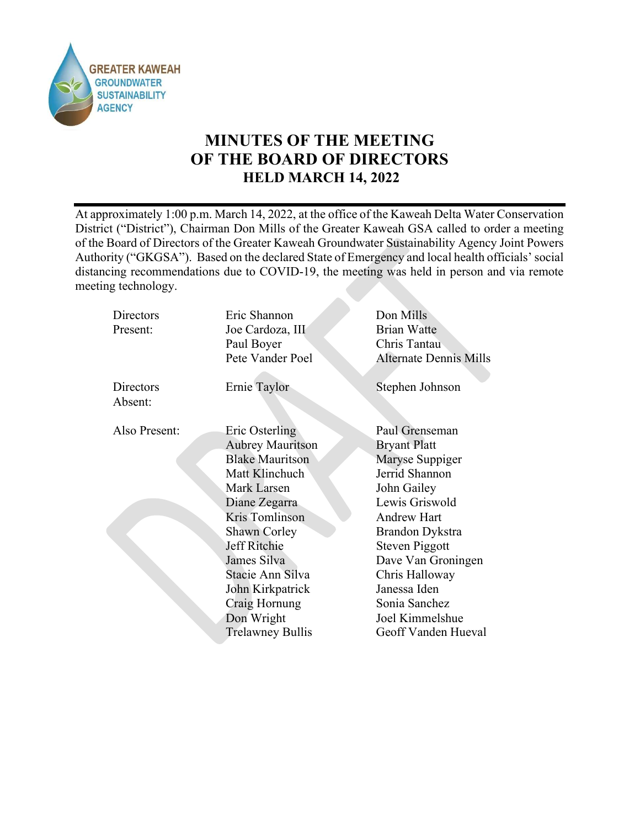

# MINUTES OF THE MEETING OF THE BOARD OF DIRECTORS HELD MARCH 14, 2022

At approximately 1:00 p.m. March 14, 2022, at the office of the Kaweah Delta Water Conservation District ("District"), Chairman Don Mills of the Greater Kaweah GSA called to order a meeting of the Board of Directors of the Greater Kaweah Groundwater Sustainability Agency Joint Powers Authority ("GKGSA"). Based on the declared State of Emergency and local health officials' social distancing recommendations due to COVID-19, the meeting was held in person and via remote meeting technology.

| <b>Directors</b><br>Present: | Eric Shannon<br>Joe Cardoza, III | Don Mills<br>Brian Watte      |
|------------------------------|----------------------------------|-------------------------------|
|                              | Paul Boyer                       | Chris Tantau                  |
|                              | Pete Vander Poel                 | <b>Alternate Dennis Mills</b> |
|                              |                                  |                               |
| Directors                    | Ernie Taylor                     | Stephen Johnson               |
| Absent:                      |                                  |                               |
|                              |                                  |                               |
| Also Present:                | Eric Osterling                   | Paul Grenseman                |
|                              | <b>Aubrey Mauritson</b>          | <b>Bryant Platt</b>           |
|                              | <b>Blake Mauritson</b>           | Maryse Suppiger               |
|                              | Matt Klinchuch                   | Jerrid Shannon                |
|                              | Mark Larsen                      | John Gailey                   |
|                              | Diane Zegarra                    | Lewis Griswold                |
|                              | Kris Tomlinson                   | <b>Andrew Hart</b>            |
|                              | <b>Shawn Corley</b>              | <b>Brandon Dykstra</b>        |
|                              | Jeff Ritchie                     | Steven Piggott                |
|                              | James Silva                      | Dave Van Groningen            |
|                              | Stacie Ann Silva                 | Chris Halloway                |
|                              | John Kirkpatrick                 | Janessa Iden                  |
|                              | Craig Hornung                    | Sonia Sanchez                 |
|                              | Don Wright                       | Joel Kimmelshue               |
|                              | <b>Trelawney Bullis</b>          | Geoff Vanden Hueval           |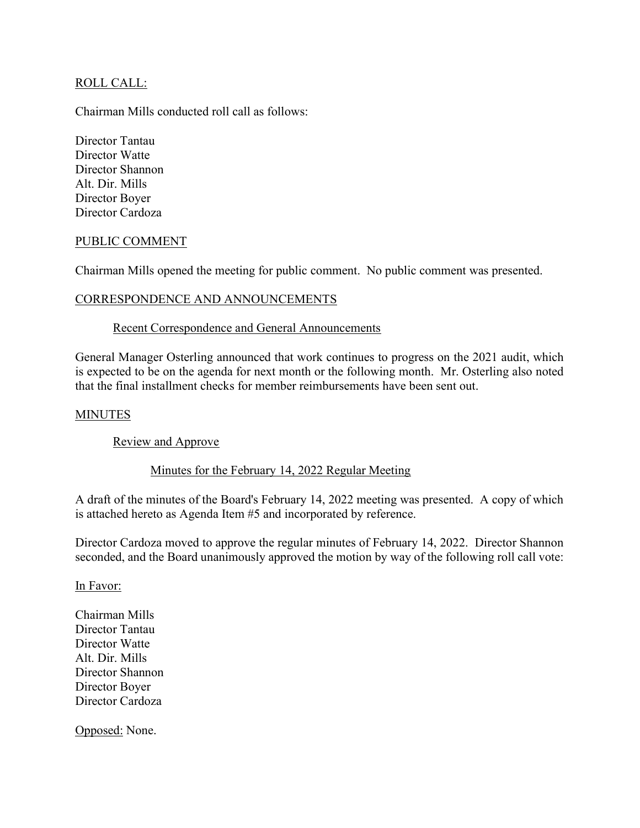# ROLL CALL:

Chairman Mills conducted roll call as follows:

Director Tantau Director Watte Director Shannon Alt. Dir. Mills Director Boyer Director Cardoza

### PUBLIC COMMENT

Chairman Mills opened the meeting for public comment. No public comment was presented.

### CORRESPONDENCE AND ANNOUNCEMENTS

### Recent Correspondence and General Announcements

General Manager Osterling announced that work continues to progress on the 2021 audit, which is expected to be on the agenda for next month or the following month. Mr. Osterling also noted that the final installment checks for member reimbursements have been sent out.

### MINUTES

Review and Approve

### Minutes for the February 14, 2022 Regular Meeting

A draft of the minutes of the Board's February 14, 2022 meeting was presented. A copy of which is attached hereto as Agenda Item #5 and incorporated by reference.

Director Cardoza moved to approve the regular minutes of February 14, 2022. Director Shannon seconded, and the Board unanimously approved the motion by way of the following roll call vote:

In Favor:

Chairman Mills Director Tantau Director Watte Alt. Dir. Mills Director Shannon Director Boyer Director Cardoza

Opposed: None.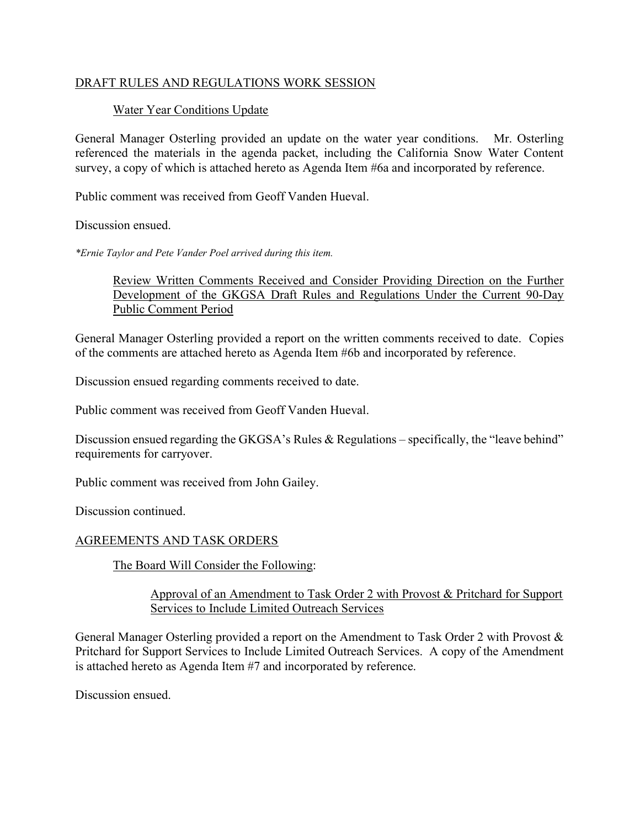# DRAFT RULES AND REGULATIONS WORK SESSION

# Water Year Conditions Update

General Manager Osterling provided an update on the water year conditions. Mr. Osterling referenced the materials in the agenda packet, including the California Snow Water Content survey, a copy of which is attached hereto as Agenda Item #6a and incorporated by reference.

Public comment was received from Geoff Vanden Hueval.

Discussion ensued.

\*Ernie Taylor and Pete Vander Poel arrived during this item.

Review Written Comments Received and Consider Providing Direction on the Further Development of the GKGSA Draft Rules and Regulations Under the Current 90-Day Public Comment Period

General Manager Osterling provided a report on the written comments received to date. Copies of the comments are attached hereto as Agenda Item #6b and incorporated by reference.

Discussion ensued regarding comments received to date.

Public comment was received from Geoff Vanden Hueval.

Discussion ensued regarding the GKGSA's Rules & Regulations – specifically, the "leave behind" requirements for carryover.

Public comment was received from John Gailey.

Discussion continued.

### AGREEMENTS AND TASK ORDERS

The Board Will Consider the Following:

### Approval of an Amendment to Task Order 2 with Provost & Pritchard for Support Services to Include Limited Outreach Services

General Manager Osterling provided a report on the Amendment to Task Order 2 with Provost & Pritchard for Support Services to Include Limited Outreach Services. A copy of the Amendment is attached hereto as Agenda Item #7 and incorporated by reference.

Discussion ensued.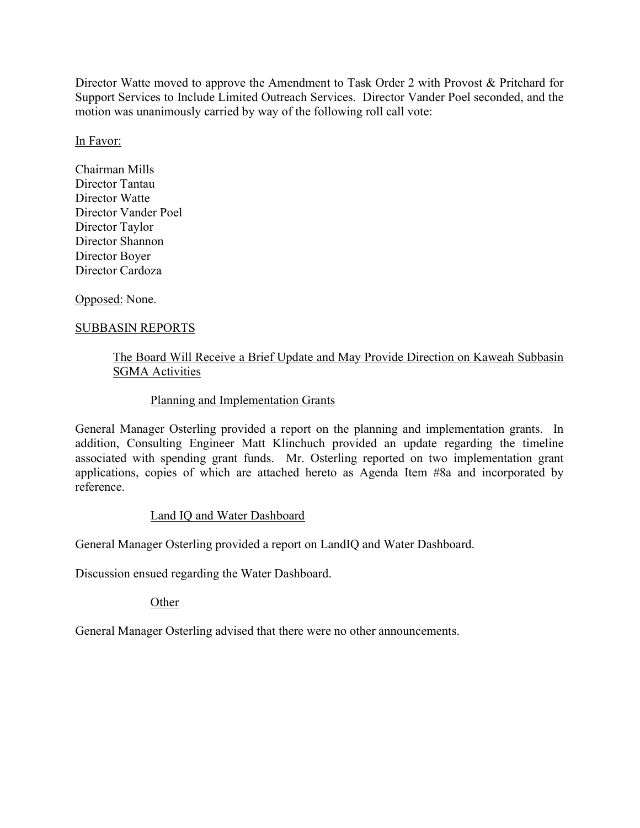Director Watte moved to approve the Amendment to Task Order 2 with Provost & Pritchard for Support Services to Include Limited Outreach Services. Director Vander Poel seconded, and the motion was unanimously carried by way of the following roll call vote:

# In Favor:

Chairman Mills Director Tantau Director Watte Director Vander Poel Director Taylor Director Shannon Director Boyer Director Cardoza

Opposed: None.

# SUBBASIN REPORTS

# The Board Will Receive a Brief Update and May Provide Direction on Kaweah Subbasin SGMA Activities

### Planning and Implementation Grants

General Manager Osterling provided a report on the planning and implementation grants. In addition, Consulting Engineer Matt Klinchuch provided an update regarding the timeline associated with spending grant funds. Mr. Osterling reported on two implementation grant applications, copies of which are attached hereto as Agenda Item #8a and incorporated by reference.

### Land IQ and Water Dashboard

General Manager Osterling provided a report on LandIQ and Water Dashboard.

Discussion ensued regarding the Water Dashboard.

**Other** 

General Manager Osterling advised that there were no other announcements.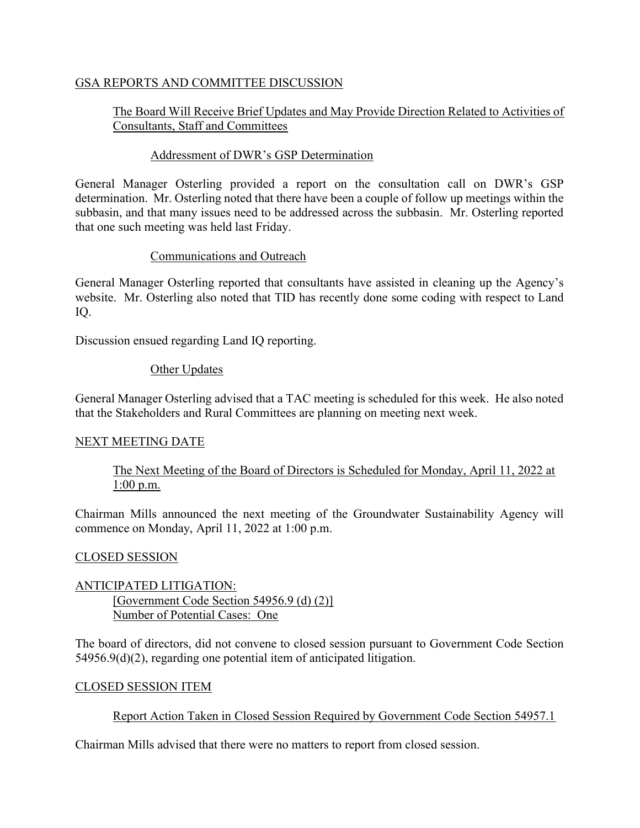# GSA REPORTS AND COMMITTEE DISCUSSION

# The Board Will Receive Brief Updates and May Provide Direction Related to Activities of Consultants, Staff and Committees

# Addressment of DWR's GSP Determination

General Manager Osterling provided a report on the consultation call on DWR's GSP determination. Mr. Osterling noted that there have been a couple of follow up meetings within the subbasin, and that many issues need to be addressed across the subbasin. Mr. Osterling reported that one such meeting was held last Friday.

# Communications and Outreach

General Manager Osterling reported that consultants have assisted in cleaning up the Agency's website. Mr. Osterling also noted that TID has recently done some coding with respect to Land IQ.

Discussion ensued regarding Land IQ reporting.

# Other Updates

General Manager Osterling advised that a TAC meeting is scheduled for this week. He also noted that the Stakeholders and Rural Committees are planning on meeting next week.

### NEXT MEETING DATE

The Next Meeting of the Board of Directors is Scheduled for Monday, April 11, 2022 at 1:00 p.m.

Chairman Mills announced the next meeting of the Groundwater Sustainability Agency will commence on Monday, April 11, 2022 at 1:00 p.m.

### CLOSED SESSION

# ANTICIPATED LITIGATION: [Government Code Section 54956.9 (d) (2)] Number of Potential Cases: One

The board of directors, did not convene to closed session pursuant to Government Code Section 54956.9(d)(2), regarding one potential item of anticipated litigation.

### CLOSED SESSION ITEM

# Report Action Taken in Closed Session Required by Government Code Section 54957.1

Chairman Mills advised that there were no matters to report from closed session.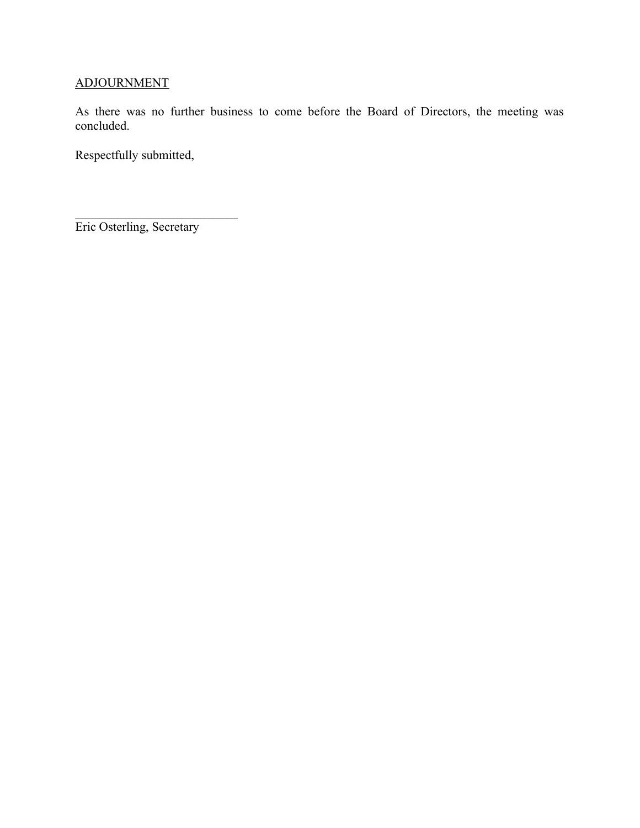# ADJOURNMENT

As there was no further business to come before the Board of Directors, the meeting was concluded.

Respectfully submitted,

Eric Osterling, Secretary

 $\mathcal{L}_\text{max}$  , where  $\mathcal{L}_\text{max}$  and  $\mathcal{L}_\text{max}$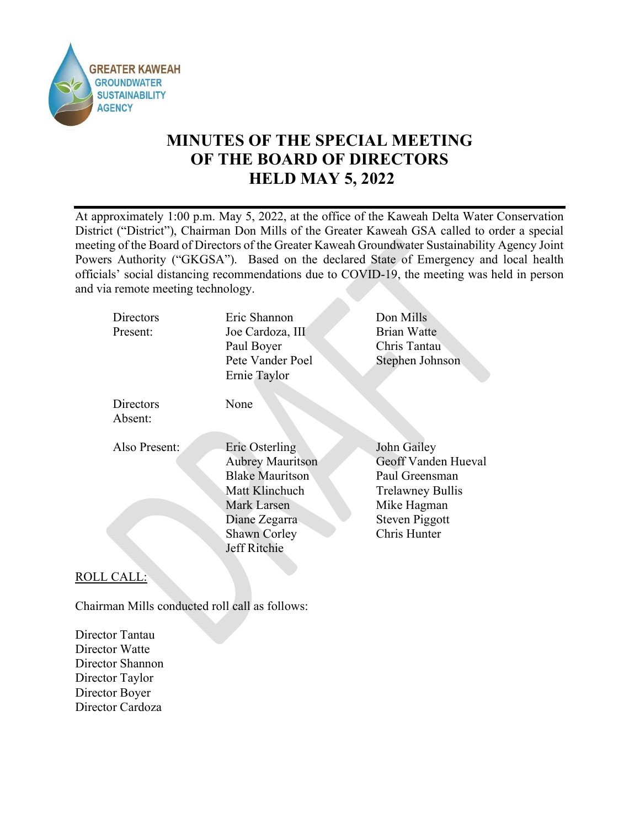

# MINUTES OF THE SPECIAL MEETING OF THE BOARD OF DIRECTORS HELD MAY 5, 2022

At approximately 1:00 p.m. May 5, 2022, at the office of the Kaweah Delta Water Conservation District ("District"), Chairman Don Mills of the Greater Kaweah GSA called to order a special meeting of the Board of Directors of the Greater Kaweah Groundwater Sustainability Agency Joint Powers Authority ("GKGSA"). Based on the declared State of Emergency and local health officials' social distancing recommendations due to COVID-19, the meeting was held in person and via remote meeting technology.

| Directors<br>Present: | Eric Shannon<br>Joe Cardoza, III<br>Paul Boyer<br>Pete Vander Poel<br>Ernie Taylor                                                                    | Don Mills<br><b>Brian Watte</b><br>Chris Tantau<br>Stephen Johnson                                                               |
|-----------------------|-------------------------------------------------------------------------------------------------------------------------------------------------------|----------------------------------------------------------------------------------------------------------------------------------|
| Directors<br>Absent:  | None                                                                                                                                                  |                                                                                                                                  |
| Also Present:         | Eric Osterling<br><b>Aubrey Mauritson</b><br><b>Blake Mauritson</b><br>Matt Klinchuch<br>Mark Larsen<br>Diane Zegarra<br>Shawn Corley<br>Jeff Ritchie | John Gailey<br>Geoff Vanden Hueval<br>Paul Greensman<br><b>Trelawney Bullis</b><br>Mike Hagman<br>Steven Piggott<br>Chris Hunter |

# ROLL CALL:

Chairman Mills conducted roll call as follows:

Director Tantau Director Watte Director Shannon Director Taylor Director Boyer Director Cardoza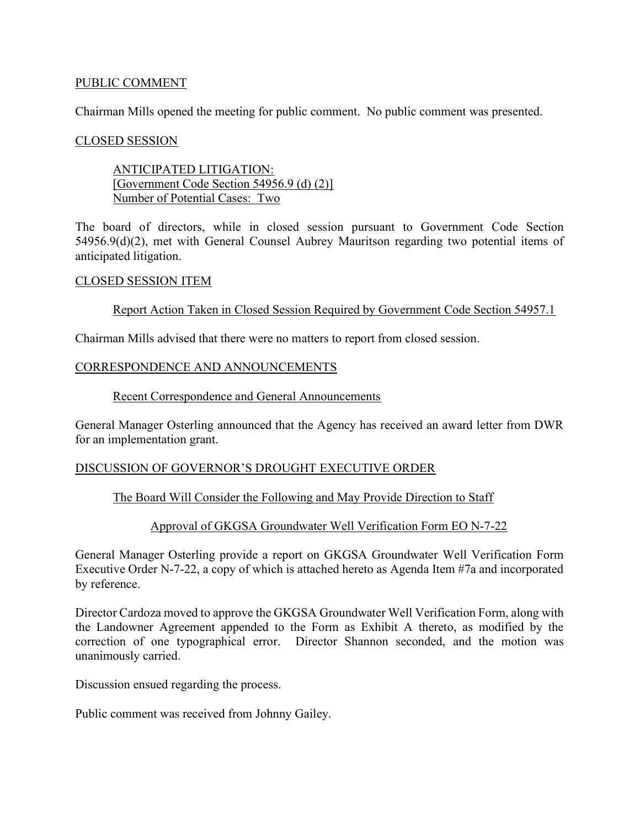### PUBLIC COMMENT

Chairman Mills opened the meeting for public comment. No public comment was presented.

### CLOSED SESSION

ANTICIPATED LITIGATION: [Government Code Section 54956.9 (d) (2)] Number of Potential Cases: Two

The board of directors, while in closed session pursuant to Government Code Section 54956.9(d)(2), met with General Counsel Aubrey Mauritson regarding two potential items of anticipated litigation.

### CLOSED SESSION ITEM

Report Action Taken in Closed Session Required by Government Code Section 54957.1

Chairman Mills advised that there were no matters to report from closed session.

### CORRESPONDENCE AND ANNOUNCEMENTS

### Recent Correspondence and General Announcements

General Manager Osterling announced that the Agency has received an award letter from DWR for an implementation grant.

### DISCUSSION OF GOVERNOR'S DROUGHT EXECUTIVE ORDER

### The Board Will Consider the Following and May Provide Direction to Staff

### Approval of GKGSA Groundwater Well Verification Form EO N-7-22

General Manager Osterling provide a report on GKGSA Groundwater Well Verification Form Executive Order N-7-22, a copy of which is attached hereto as Agenda Item #7a and incorporated by reference.

Director Cardoza moved to approve the GKGSA Groundwater Well Verification Form, along with the Landowner Agreement appended to the Form as Exhibit A thereto, as modified by the correction of one typographical error. Director Shannon seconded, and the motion was unanimously carried.

Discussion ensued regarding the process.

Public comment was received from Johnny Gailey.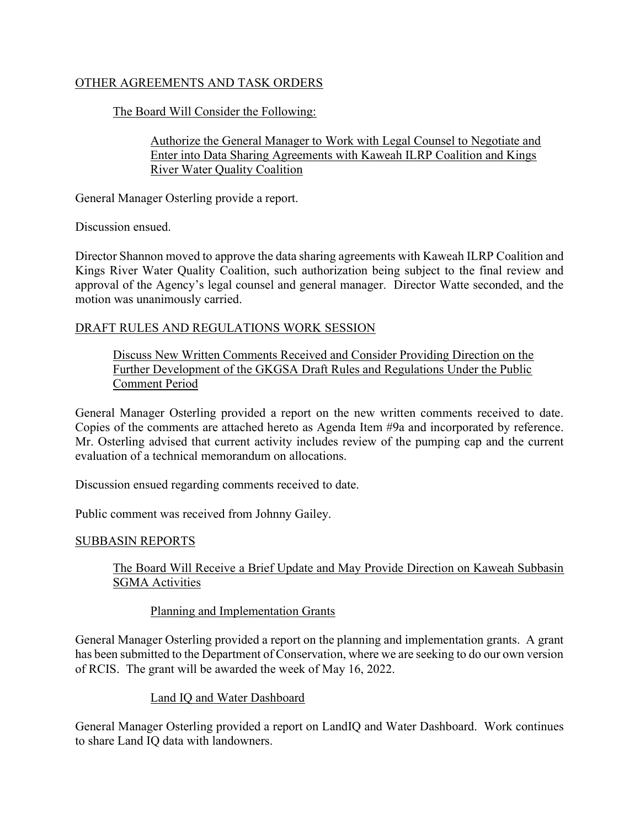# OTHER AGREEMENTS AND TASK ORDERS

The Board Will Consider the Following:

Authorize the General Manager to Work with Legal Counsel to Negotiate and Enter into Data Sharing Agreements with Kaweah ILRP Coalition and Kings River Water Quality Coalition

General Manager Osterling provide a report.

Discussion ensued.

Director Shannon moved to approve the data sharing agreements with Kaweah ILRP Coalition and Kings River Water Quality Coalition, such authorization being subject to the final review and approval of the Agency's legal counsel and general manager. Director Watte seconded, and the motion was unanimously carried.

# DRAFT RULES AND REGULATIONS WORK SESSION

Discuss New Written Comments Received and Consider Providing Direction on the Further Development of the GKGSA Draft Rules and Regulations Under the Public Comment Period

General Manager Osterling provided a report on the new written comments received to date. Copies of the comments are attached hereto as Agenda Item #9a and incorporated by reference. Mr. Osterling advised that current activity includes review of the pumping cap and the current evaluation of a technical memorandum on allocations.

Discussion ensued regarding comments received to date.

Public comment was received from Johnny Gailey.

### SUBBASIN REPORTS

The Board Will Receive a Brief Update and May Provide Direction on Kaweah Subbasin SGMA Activities

# Planning and Implementation Grants

General Manager Osterling provided a report on the planning and implementation grants. A grant has been submitted to the Department of Conservation, where we are seeking to do our own version of RCIS. The grant will be awarded the week of May 16, 2022.

# Land IQ and Water Dashboard

General Manager Osterling provided a report on LandIQ and Water Dashboard. Work continues to share Land IQ data with landowners.